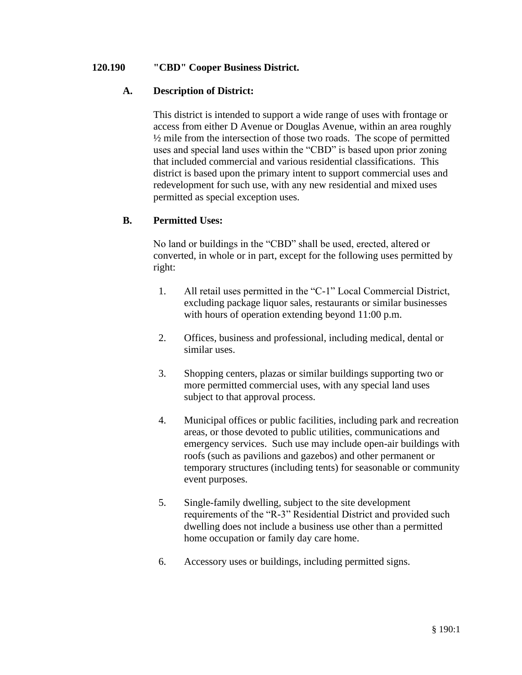### **120.190 "CBD" Cooper Business District.**

## **A. Description of District:**

This district is intended to support a wide range of uses with frontage or access from either D Avenue or Douglas Avenue, within an area roughly ½ mile from the intersection of those two roads. The scope of permitted uses and special land uses within the "CBD" is based upon prior zoning that included commercial and various residential classifications. This district is based upon the primary intent to support commercial uses and redevelopment for such use, with any new residential and mixed uses permitted as special exception uses.

## **B. Permitted Uses:**

No land or buildings in the "CBD" shall be used, erected, altered or converted, in whole or in part, except for the following uses permitted by right:

- 1. All retail uses permitted in the "C-1" Local Commercial District, excluding package liquor sales, restaurants or similar businesses with hours of operation extending beyond 11:00 p.m.
- 2. Offices, business and professional, including medical, dental or similar uses.
- 3. Shopping centers, plazas or similar buildings supporting two or more permitted commercial uses, with any special land uses subject to that approval process.
- 4. Municipal offices or public facilities, including park and recreation areas, or those devoted to public utilities, communications and emergency services. Such use may include open-air buildings with roofs (such as pavilions and gazebos) and other permanent or temporary structures (including tents) for seasonable or community event purposes.
- 5. Single-family dwelling, subject to the site development requirements of the "R-3" Residential District and provided such dwelling does not include a business use other than a permitted home occupation or family day care home.
- 6. Accessory uses or buildings, including permitted signs.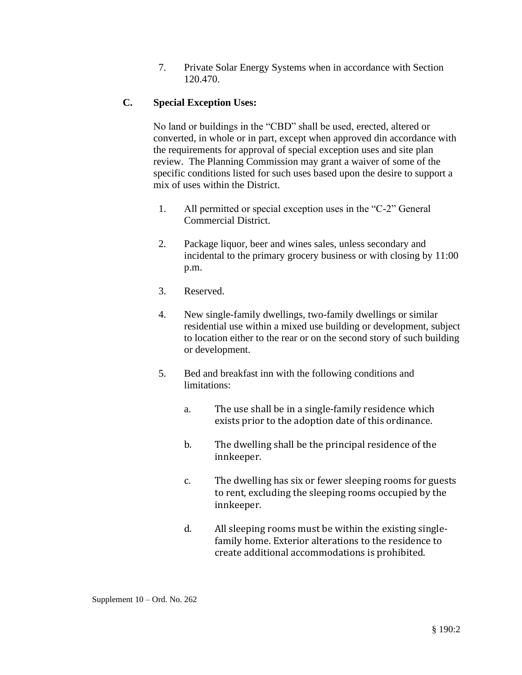7. Private Solar Energy Systems when in accordance with Section 120.470.

# **C. Special Exception Uses:**

No land or buildings in the "CBD" shall be used, erected, altered or converted, in whole or in part, except when approved din accordance with the requirements for approval of special exception uses and site plan review. The Planning Commission may grant a waiver of some of the specific conditions listed for such uses based upon the desire to support a mix of uses within the District.

- 1. All permitted or special exception uses in the "C-2" General Commercial District.
- 2. Package liquor, beer and wines sales, unless secondary and incidental to the primary grocery business or with closing by 11:00 p.m.
- 3. Reserved.
- 4. New single-family dwellings, two-family dwellings or similar residential use within a mixed use building or development, subject to location either to the rear or on the second story of such building or development.
- 5. Bed and breakfast inn with the following conditions and limitations:
	- a. The use shall be in a single-family residence which exists prior to the adoption date of this ordinance.
	- b. The dwelling shall be the principal residence of the innkeeper.
	- c. The dwelling has six or fewer sleeping rooms for guests to rent, excluding the sleeping rooms occupied by the innkeeper.
	- d. All sleeping rooms must be within the existing singlefamily home. Exterior alterations to the residence to create additional accommodations is prohibited.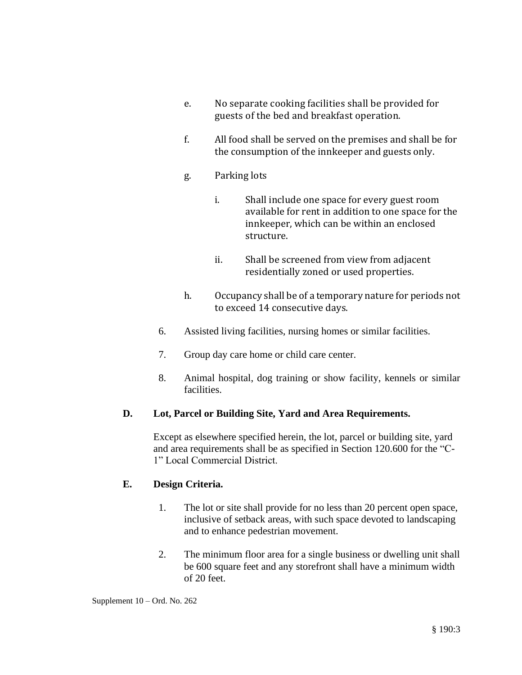- e. No separate cooking facilities shall be provided for guests of the bed and breakfast operation.
- f. All food shall be served on the premises and shall be for the consumption of the innkeeper and guests only.
- g. Parking lots
	- i. Shall include one space for every guest room available for rent in addition to one space for the innkeeper, which can be within an enclosed structure.
	- ii. Shall be screened from view from adjacent residentially zoned or used properties.
- h. Occupancy shall be of a temporary nature for periods not to exceed 14 consecutive days.
- 6. Assisted living facilities, nursing homes or similar facilities.
- 7. Group day care home or child care center.
- 8. Animal hospital, dog training or show facility, kennels or similar facilities.

# **D. Lot, Parcel or Building Site, Yard and Area Requirements.**

Except as elsewhere specified herein, the lot, parcel or building site, yard and area requirements shall be as specified in Section 120.600 for the "C-1" Local Commercial District.

### **E. Design Criteria.**

- 1. The lot or site shall provide for no less than 20 percent open space, inclusive of setback areas, with such space devoted to landscaping and to enhance pedestrian movement.
- 2. The minimum floor area for a single business or dwelling unit shall be 600 square feet and any storefront shall have a minimum width of 20 feet.